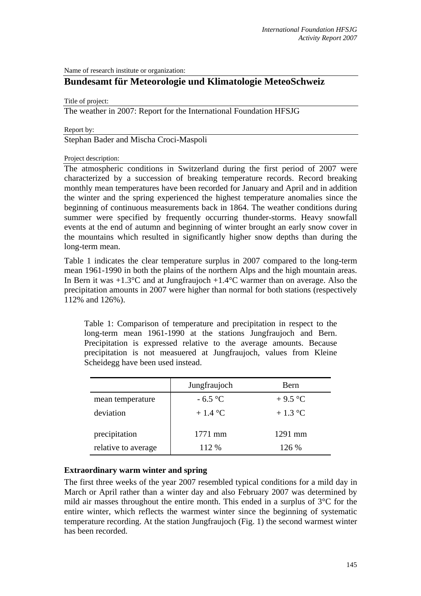Name of research institute or organization:

# **Bundesamt für Meteorologie und Klimatologie MeteoSchweiz**

Title of project:

The weather in 2007: Report for the International Foundation HFSJG

Report by:

Stephan Bader and Mischa Croci-Maspoli

Project description:

The atmospheric conditions in Switzerland during the first period of 2007 were characterized by a succession of breaking temperature records. Record breaking monthly mean temperatures have been recorded for January and April and in addition the winter and the spring experienced the highest temperature anomalies since the beginning of continuous measurements back in 1864. The weather conditions during summer were specified by frequently occurring thunder-storms. Heavy snowfall events at the end of autumn and beginning of winter brought an early snow cover in the mountains which resulted in significantly higher snow depths than during the long-term mean.

Table 1 indicates the clear temperature surplus in 2007 compared to the long-term mean 1961-1990 in both the plains of the northern Alps and the high mountain areas. In Bern it was  $+1.3^{\circ}$ C and at Jungfraujoch  $+1.4^{\circ}$ C warmer than on average. Also the precipitation amounts in 2007 were higher than normal for both stations (respectively 112% and 126%).

Table 1: Comparison of temperature and precipitation in respect to the long-term mean 1961-1990 at the stations Jungfraujoch and Bern. Precipitation is expressed relative to the average amounts. Because precipitation is not measuered at Jungfraujoch, values from Kleine Scheidegg have been used instead.

|                     | Jungfraujoch    | Bern      |
|---------------------|-----------------|-----------|
| mean temperature    | $-6.5$ °C       | $+9.5$ °C |
| deviation           | $+1.4\degree$ C | $+1.3$ °C |
| precipitation       | $1771$ mm       | $1291$ mm |
| relative to average | 112 %           | 126%      |

#### **Extraordinary warm winter and spring**

The first three weeks of the year 2007 resembled typical conditions for a mild day in March or April rather than a winter day and also February 2007 was determined by mild air masses throughout the entire month. This ended in a surplus of 3°C for the entire winter, which reflects the warmest winter since the beginning of systematic temperature recording. At the station Jungfraujoch (Fig. 1) the second warmest winter has been recorded.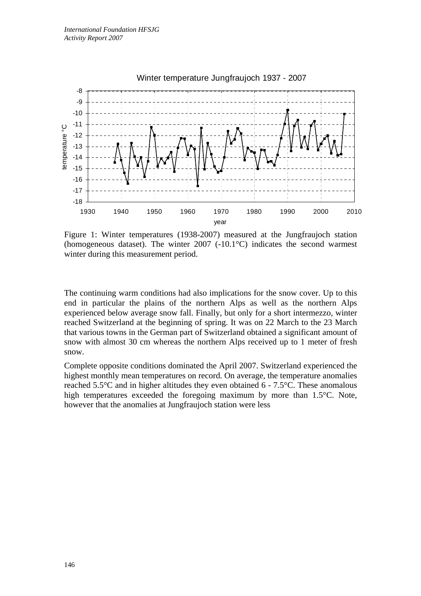

Figure 1: Winter temperatures (1938-2007) measured at the Jungfraujoch station (homogeneous dataset). The winter 2007 (-10.1°C) indicates the second warmest winter during this measurement period.

The continuing warm conditions had also implications for the snow cover. Up to this end in particular the plains of the northern Alps as well as the northern Alps experienced below average snow fall. Finally, but only for a short intermezzo, winter reached Switzerland at the beginning of spring. It was on 22 March to the 23 March that various towns in the German part of Switzerland obtained a significant amount of snow with almost 30 cm whereas the northern Alps received up to 1 meter of fresh snow.

Complete opposite conditions dominated the April 2007. Switzerland experienced the highest monthly mean temperatures on record. On average, the temperature anomalies reached 5.5°C and in higher altitudes they even obtained 6 - 7.5°C. These anomalous high temperatures exceeded the foregoing maximum by more than 1.5°C. Note, however that the anomalies at Jungfraujoch station were less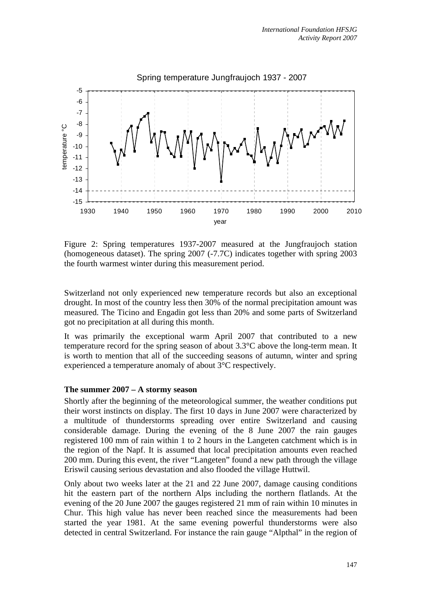

Figure 2: Spring temperatures 1937-2007 measured at the Jungfraujoch station (homogeneous dataset). The spring 2007 (-7.7C) indicates together with spring 2003 the fourth warmest winter during this measurement period.

Switzerland not only experienced new temperature records but also an exceptional drought. In most of the country less then 30% of the normal precipitation amount was measured. The Ticino and Engadin got less than 20% and some parts of Switzerland got no precipitation at all during this month.

It was primarily the exceptional warm April 2007 that contributed to a new temperature record for the spring season of about  $3.3^{\circ}$ C above the long-term mean. It is worth to mention that all of the succeeding seasons of autumn, winter and spring experienced a temperature anomaly of about 3°C respectively.

#### **The summer 2007 – A stormy season**

Shortly after the beginning of the meteorological summer, the weather conditions put their worst instincts on display. The first 10 days in June 2007 were characterized by a multitude of thunderstorms spreading over entire Switzerland and causing considerable damage. During the evening of the 8 June 2007 the rain gauges registered 100 mm of rain within 1 to 2 hours in the Langeten catchment which is in the region of the Napf. It is assumed that local precipitation amounts even reached 200 mm. During this event, the river "Langeten" found a new path through the village Eriswil causing serious devastation and also flooded the village Huttwil.

Only about two weeks later at the 21 and 22 June 2007, damage causing conditions hit the eastern part of the northern Alps including the northern flatlands. At the evening of the 20 June 2007 the gauges registered 21 mm of rain within 10 minutes in Chur. This high value has never been reached since the measurements had been started the year 1981. At the same evening powerful thunderstorms were also detected in central Switzerland. For instance the rain gauge "Alpthal" in the region of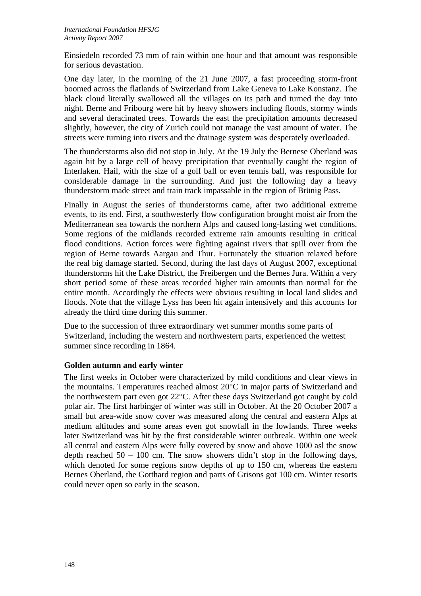Einsiedeln recorded 73 mm of rain within one hour and that amount was responsible for serious devastation.

One day later, in the morning of the 21 June 2007, a fast proceeding storm-front boomed across the flatlands of Switzerland from Lake Geneva to Lake Konstanz. The black cloud literally swallowed all the villages on its path and turned the day into night. Berne and Fribourg were hit by heavy showers including floods, stormy winds and several deracinated trees. Towards the east the precipitation amounts decreased slightly, however, the city of Zurich could not manage the vast amount of water. The streets were turning into rivers and the drainage system was desperately overloaded.

The thunderstorms also did not stop in July. At the 19 July the Bernese Oberland was again hit by a large cell of heavy precipitation that eventually caught the region of Interlaken. Hail, with the size of a golf ball or even tennis ball, was responsible for considerable damage in the surrounding. And just the following day a heavy thunderstorm made street and train track impassable in the region of Brünig Pass.

Finally in August the series of thunderstorms came, after two additional extreme events, to its end. First, a southwesterly flow configuration brought moist air from the Mediterranean sea towards the northern Alps and caused long-lasting wet conditions. Some regions of the midlands recorded extreme rain amounts resulting in critical flood conditions. Action forces were fighting against rivers that spill over from the region of Berne towards Aargau and Thur. Fortunately the situation relaxed before the real big damage started. Second, during the last days of August 2007, exceptional thunderstorms hit the Lake District, the Freibergen und the Bernes Jura. Within a very short period some of these areas recorded higher rain amounts than normal for the entire month. Accordingly the effects were obvious resulting in local land slides and floods. Note that the village Lyss has been hit again intensively and this accounts for already the third time during this summer.

Due to the succession of three extraordinary wet summer months some parts of Switzerland, including the western and northwestern parts, experienced the wettest summer since recording in 1864.

## **Golden autumn and early winter**

The first weeks in October were characterized by mild conditions and clear views in the mountains. Temperatures reached almost 20°C in major parts of Switzerland and the northwestern part even got 22°C. After these days Switzerland got caught by cold polar air. The first harbinger of winter was still in October. At the 20 October 2007 a small but area-wide snow cover was measured along the central and eastern Alps at medium altitudes and some areas even got snowfall in the lowlands. Three weeks later Switzerland was hit by the first considerable winter outbreak. Within one week all central and eastern Alps were fully covered by snow and above 1000 asl the snow depth reached  $50 - 100$  cm. The snow showers didn't stop in the following days, which denoted for some regions snow depths of up to 150 cm, whereas the eastern Bernes Oberland, the Gotthard region and parts of Grisons got 100 cm. Winter resorts could never open so early in the season.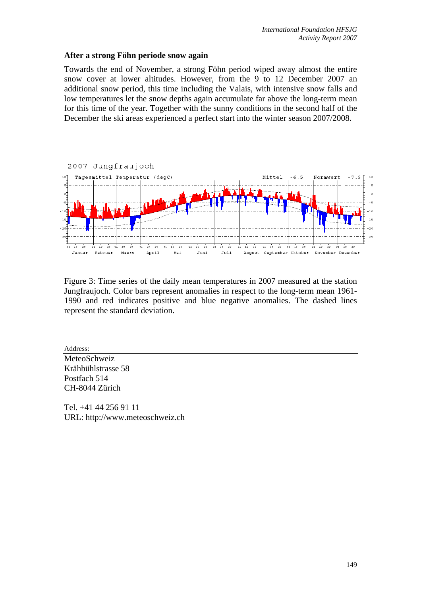### **After a strong Föhn periode snow again**

Towards the end of November, a strong Föhn period wiped away almost the entire snow cover at lower altitudes. However, from the 9 to 12 December 2007 an additional snow period, this time including the Valais, with intensive snow falls and low temperatures let the snow depths again accumulate far above the long-term mean for this time of the year. Together with the sunny conditions in the second half of the December the ski areas experienced a perfect start into the winter season 2007/2008.



Figure 3: Time series of the daily mean temperatures in 2007 measured at the station Jungfraujoch. Color bars represent anomalies in respect to the long-term mean 1961- 1990 and red indicates positive and blue negative anomalies. The dashed lines represent the standard deviation.

Address: MeteoSchweiz Krähbühlstrasse 58 Postfach 514 CH-8044 Zürich

Tel. +41 44 256 91 11 URL: http://www.meteoschweiz.ch